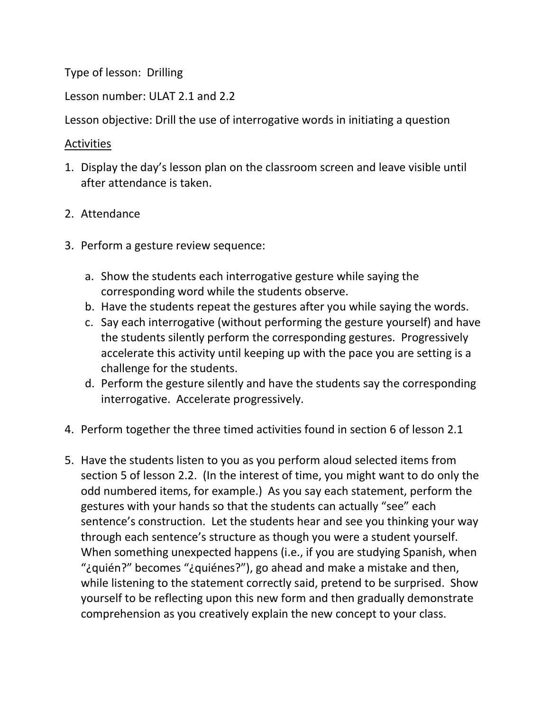Type of lesson: Drilling

Lesson number: ULAT 2.1 and 2.2

Lesson objective: Drill the use of interrogative words in initiating a question

## Activities

- 1. Display the day's lesson plan on the classroom screen and leave visible until after attendance is taken.
- 2. Attendance
- 3. Perform a gesture review sequence:
	- a. Show the students each interrogative gesture while saying the corresponding word while the students observe.
	- b. Have the students repeat the gestures after you while saying the words.
	- c. Say each interrogative (without performing the gesture yourself) and have the students silently perform the corresponding gestures. Progressively accelerate this activity until keeping up with the pace you are setting is a challenge for the students.
	- d. Perform the gesture silently and have the students say the corresponding interrogative. Accelerate progressively.
- 4. Perform together the three timed activities found in section 6 of lesson 2.1
- 5. Have the students listen to you as you perform aloud selected items from section 5 of lesson 2.2. (In the interest of time, you might want to do only the odd numbered items, for example.) As you say each statement, perform the gestures with your hands so that the students can actually "see" each sentence's construction. Let the students hear and see you thinking your way through each sentence's structure as though you were a student yourself. When something unexpected happens (i.e., if you are studying Spanish, when "¿quién?" becomes "¿quiénes?"), go ahead and make a mistake and then, while listening to the statement correctly said, pretend to be surprised. Show yourself to be reflecting upon this new form and then gradually demonstrate comprehension as you creatively explain the new concept to your class.